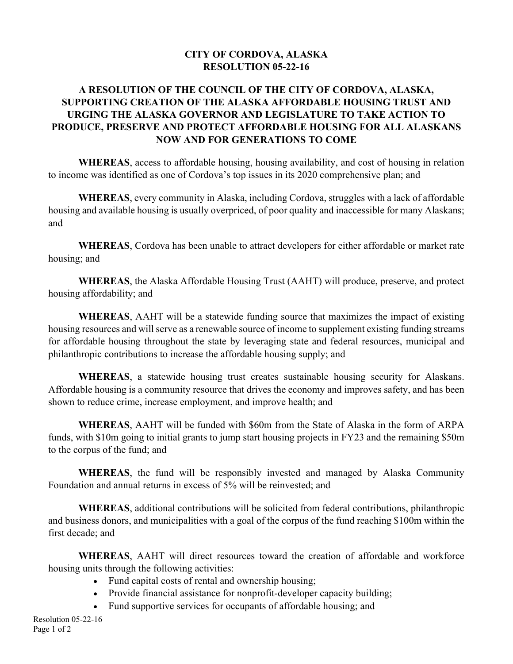## **CITY OF CORDOVA, ALASKA RESOLUTION 05-22-16**

## **A RESOLUTION OF THE COUNCIL OF THE CITY OF CORDOVA, ALASKA, SUPPORTING CREATION OF THE ALASKA AFFORDABLE HOUSING TRUST AND URGING THE ALASKA GOVERNOR AND LEGISLATURE TO TAKE ACTION TO PRODUCE, PRESERVE AND PROTECT AFFORDABLE HOUSING FOR ALL ALASKANS NOW AND FOR GENERATIONS TO COME**

**WHEREAS**, access to affordable housing, housing availability, and cost of housing in relation to income was identified as one of Cordova's top issues in its 2020 comprehensive plan; and

**WHEREAS**, every community in Alaska, including Cordova, struggles with a lack of affordable housing and available housing is usually overpriced, of poor quality and inaccessible for many Alaskans; and

**WHEREAS**, Cordova has been unable to attract developers for either affordable or market rate housing; and

**WHEREAS**, the Alaska Affordable Housing Trust (AAHT) will produce, preserve, and protect housing affordability; and

**WHEREAS**, AAHT will be a statewide funding source that maximizes the impact of existing housing resources and will serve as a renewable source of income to supplement existing funding streams for affordable housing throughout the state by leveraging state and federal resources, municipal and philanthropic contributions to increase the affordable housing supply; and

**WHEREAS**, a statewide housing trust creates sustainable housing security for Alaskans. Affordable housing is a community resource that drives the economy and improves safety, and has been shown to reduce crime, increase employment, and improve health; and

**WHEREAS**, AAHT will be funded with \$60m from the State of Alaska in the form of ARPA funds, with \$10m going to initial grants to jump start housing projects in FY23 and the remaining \$50m to the corpus of the fund; and

**WHEREAS**, the fund will be responsibly invested and managed by Alaska Community Foundation and annual returns in excess of 5% will be reinvested; and

**WHEREAS**, additional contributions will be solicited from federal contributions, philanthropic and business donors, and municipalities with a goal of the corpus of the fund reaching \$100m within the first decade; and

**WHEREAS**, AAHT will direct resources toward the creation of affordable and workforce housing units through the following activities:

- Fund capital costs of rental and ownership housing;
- Provide financial assistance for nonprofit-developer capacity building;
- Fund supportive services for occupants of affordable housing; and